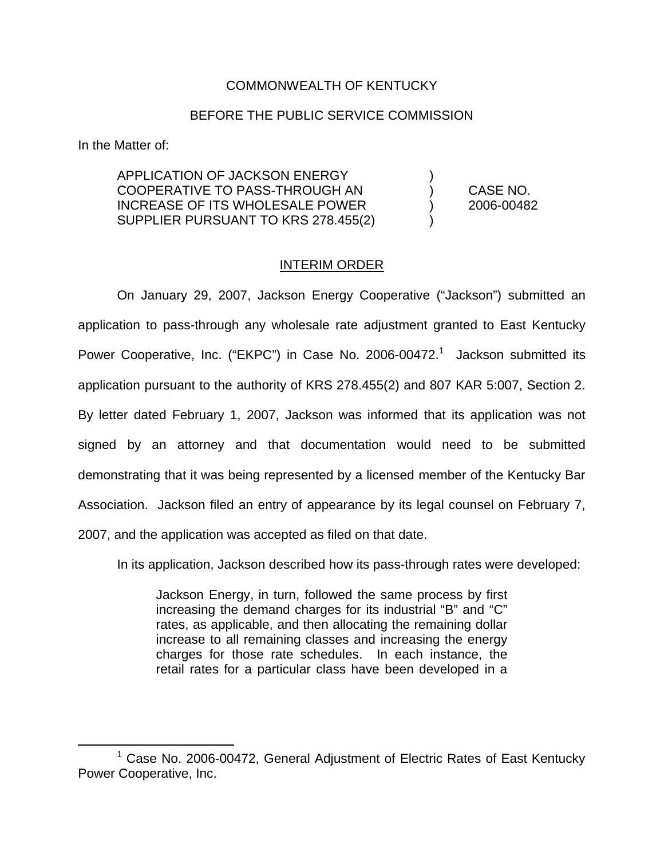## COMMONWEALTH OF KENTUCKY

## BEFORE THE PUBLIC SERVICE COMMISSION

In the Matter of:

APPLICATION OF JACKSON ENERGY ) COOPERATIVE TO PASS-THROUGH AN ) CASE NO. INCREASE OF ITS WHOLESALE POWER ) 2006-00482 SUPPLIER PURSUANT TO KRS 278.455(2) )

## INTERIM ORDER

On January 29, 2007, Jackson Energy Cooperative ("Jackson") submitted an application to pass-through any wholesale rate adjustment granted to East Kentucky Power Cooperative, Inc. ("EKPC") in Case No. 2006-00472.<sup>1</sup> Jackson submitted its application pursuant to the authority of KRS 278.455(2) and 807 KAR 5:007, Section 2. By letter dated February 1, 2007, Jackson was informed that its application was not signed by an attorney and that documentation would need to be submitted demonstrating that it was being represented by a licensed member of the Kentucky Bar Association. Jackson filed an entry of appearance by its legal counsel on February 7, 2007, and the application was accepted as filed on that date.

In its application, Jackson described how its pass-through rates were developed:

Jackson Energy, in turn, followed the same process by first increasing the demand charges for its industrial "B" and "C" rates, as applicable, and then allocating the remaining dollar increase to all remaining classes and increasing the energy charges for those rate schedules. In each instance, the retail rates for a particular class have been developed in a

 $1$  Case No. 2006-00472, General Adjustment of Electric Rates of East Kentucky Power Cooperative, Inc.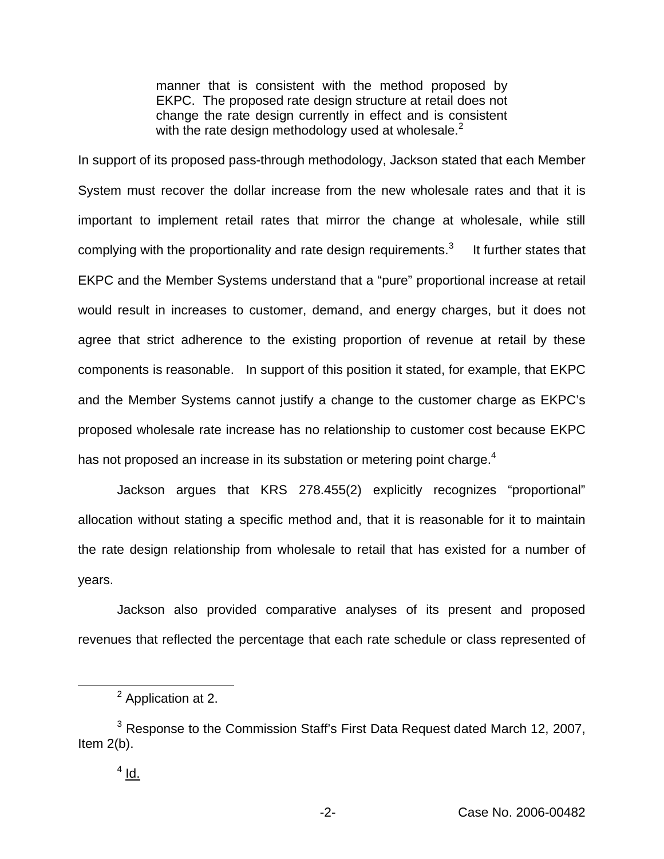manner that is consistent with the method proposed by EKPC. The proposed rate design structure at retail does not change the rate design currently in effect and is consistent with the rate design methodology used at wholesale. $<sup>2</sup>$ </sup>

In support of its proposed pass-through methodology, Jackson stated that each Member System must recover the dollar increase from the new wholesale rates and that it is important to implement retail rates that mirror the change at wholesale, while still complying with the proportionality and rate design requirements.<sup>3</sup> It further states that EKPC and the Member Systems understand that a "pure" proportional increase at retail would result in increases to customer, demand, and energy charges, but it does not agree that strict adherence to the existing proportion of revenue at retail by these components is reasonable. In support of this position it stated, for example, that EKPC and the Member Systems cannot justify a change to the customer charge as EKPC's proposed wholesale rate increase has no relationship to customer cost because EKPC has not proposed an increase in its substation or metering point charge.<sup>4</sup>

Jackson argues that KRS 278.455(2) explicitly recognizes "proportional" allocation without stating a specific method and, that it is reasonable for it to maintain the rate design relationship from wholesale to retail that has existed for a number of years.

Jackson also provided comparative analyses of its present and proposed revenues that reflected the percentage that each rate schedule or class represented of

<sup>&</sup>lt;sup>2</sup> Application at 2.

<sup>&</sup>lt;sup>3</sup> Response to the Commission Staff's First Data Request dated March 12, 2007, Item 2(b).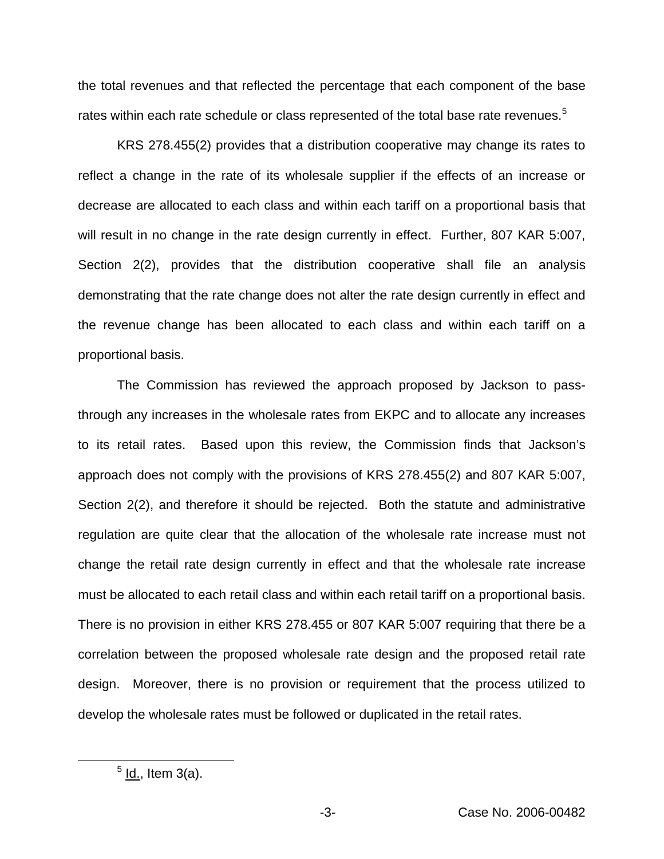the total revenues and that reflected the percentage that each component of the base rates within each rate schedule or class represented of the total base rate revenues.<sup>5</sup>

KRS 278.455(2) provides that a distribution cooperative may change its rates to reflect a change in the rate of its wholesale supplier if the effects of an increase or decrease are allocated to each class and within each tariff on a proportional basis that will result in no change in the rate design currently in effect. Further, 807 KAR 5:007, Section 2(2), provides that the distribution cooperative shall file an analysis demonstrating that the rate change does not alter the rate design currently in effect and the revenue change has been allocated to each class and within each tariff on a proportional basis.

The Commission has reviewed the approach proposed by Jackson to passthrough any increases in the wholesale rates from EKPC and to allocate any increases to its retail rates. Based upon this review, the Commission finds that Jackson's approach does not comply with the provisions of KRS 278.455(2) and 807 KAR 5:007, Section 2(2), and therefore it should be rejected. Both the statute and administrative regulation are quite clear that the allocation of the wholesale rate increase must not change the retail rate design currently in effect and that the wholesale rate increase must be allocated to each retail class and within each retail tariff on a proportional basis. There is no provision in either KRS 278.455 or 807 KAR 5:007 requiring that there be a correlation between the proposed wholesale rate design and the proposed retail rate design. Moreover, there is no provision or requirement that the process utilized to develop the wholesale rates must be followed or duplicated in the retail rates.

 $<sup>5</sup>$  ld., Item 3(a).</sup>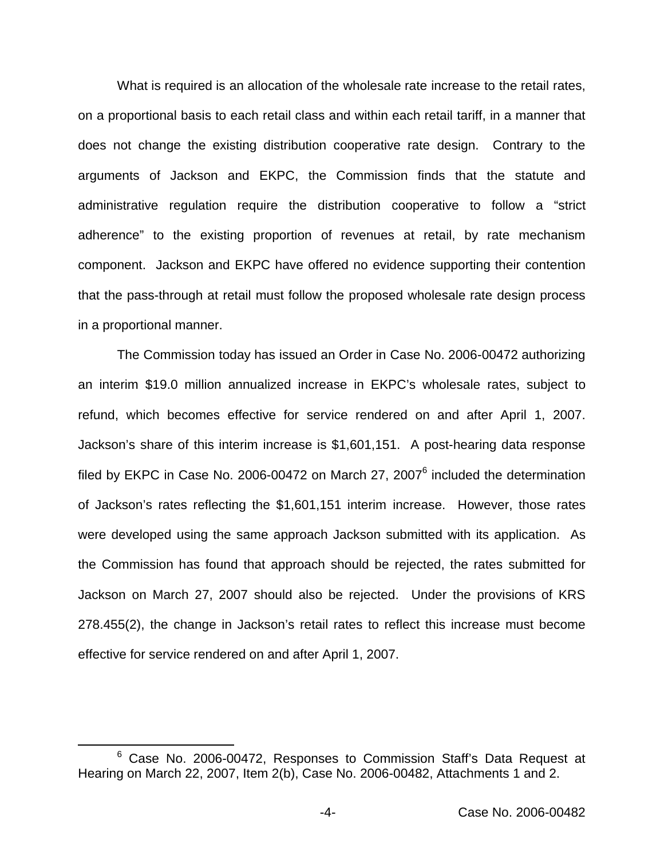What is required is an allocation of the wholesale rate increase to the retail rates, on a proportional basis to each retail class and within each retail tariff, in a manner that does not change the existing distribution cooperative rate design. Contrary to the arguments of Jackson and EKPC, the Commission finds that the statute and administrative regulation require the distribution cooperative to follow a "strict adherence" to the existing proportion of revenues at retail, by rate mechanism component. Jackson and EKPC have offered no evidence supporting their contention that the pass-through at retail must follow the proposed wholesale rate design process in a proportional manner.

The Commission today has issued an Order in Case No. 2006-00472 authorizing an interim \$19.0 million annualized increase in EKPC's wholesale rates, subject to refund, which becomes effective for service rendered on and after April 1, 2007. Jackson's share of this interim increase is \$1,601,151. A post-hearing data response filed by EKPC in Case No. 2006-00472 on March 27, 2007 $<sup>6</sup>$  included the determination</sup> of Jackson's rates reflecting the \$1,601,151 interim increase. However, those rates were developed using the same approach Jackson submitted with its application. As the Commission has found that approach should be rejected, the rates submitted for Jackson on March 27, 2007 should also be rejected. Under the provisions of KRS 278.455(2), the change in Jackson's retail rates to reflect this increase must become effective for service rendered on and after April 1, 2007.

<sup>&</sup>lt;sup>6</sup> Case No. 2006-00472, Responses to Commission Staff's Data Request at Hearing on March 22, 2007, Item 2(b), Case No. 2006-00482, Attachments 1 and 2.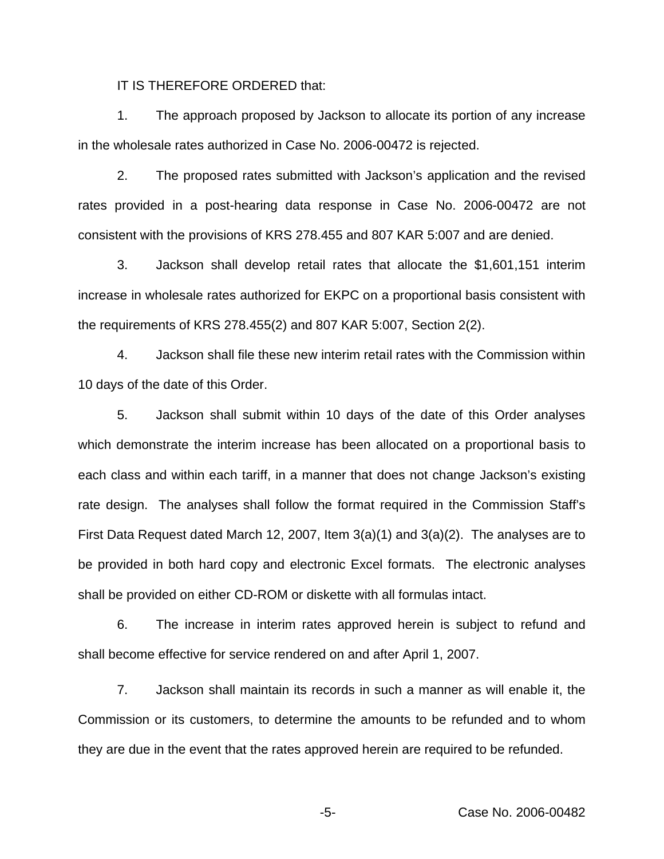IT IS THEREFORE ORDERED that:

1. The approach proposed by Jackson to allocate its portion of any increase in the wholesale rates authorized in Case No. 2006-00472 is rejected.

2. The proposed rates submitted with Jackson's application and the revised rates provided in a post-hearing data response in Case No. 2006-00472 are not consistent with the provisions of KRS 278.455 and 807 KAR 5:007 and are denied.

3. Jackson shall develop retail rates that allocate the \$1,601,151 interim increase in wholesale rates authorized for EKPC on a proportional basis consistent with the requirements of KRS 278.455(2) and 807 KAR 5:007, Section 2(2).

4. Jackson shall file these new interim retail rates with the Commission within 10 days of the date of this Order.

5. Jackson shall submit within 10 days of the date of this Order analyses which demonstrate the interim increase has been allocated on a proportional basis to each class and within each tariff, in a manner that does not change Jackson's existing rate design. The analyses shall follow the format required in the Commission Staff's First Data Request dated March 12, 2007, Item 3(a)(1) and 3(a)(2). The analyses are to be provided in both hard copy and electronic Excel formats. The electronic analyses shall be provided on either CD-ROM or diskette with all formulas intact.

6. The increase in interim rates approved herein is subject to refund and shall become effective for service rendered on and after April 1, 2007.

7. Jackson shall maintain its records in such a manner as will enable it, the Commission or its customers, to determine the amounts to be refunded and to whom they are due in the event that the rates approved herein are required to be refunded.